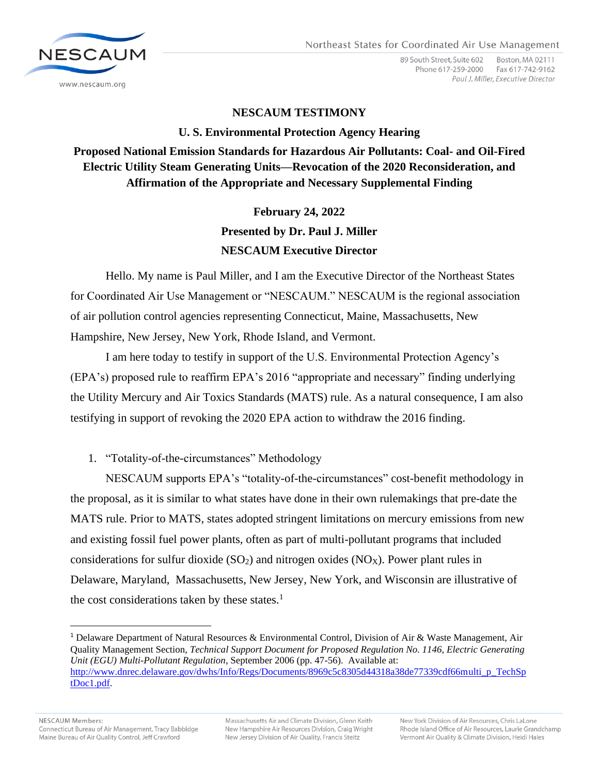

89 South Street, Suite 602 Boston, MA 02111 Phone 617-259-2000 Fax 617-742-9162 Paul J. Miller, Executive Director

### **NESCAUM TESTIMONY**

#### **U. S. Environmental Protection Agency Hearing**

## **Proposed National Emission Standards for Hazardous Air Pollutants: Coal- and Oil-Fired Electric Utility Steam Generating Units—Revocation of the 2020 Reconsideration, and Affirmation of the Appropriate and Necessary Supplemental Finding**

# **February 24, 2022 Presented by Dr. Paul J. Miller NESCAUM Executive Director**

Hello. My name is Paul Miller, and I am the Executive Director of the Northeast States for Coordinated Air Use Management or "NESCAUM." NESCAUM is the regional association of air pollution control agencies representing Connecticut, Maine, Massachusetts, New Hampshire, New Jersey, New York, Rhode Island, and Vermont.

I am here today to testify in support of the U.S. Environmental Protection Agency's (EPA's) proposed rule to reaffirm EPA's 2016 "appropriate and necessary" finding underlying the Utility Mercury and Air Toxics Standards (MATS) rule. As a natural consequence, I am also testifying in support of revoking the 2020 EPA action to withdraw the 2016 finding.

1. "Totality-of-the-circumstances" Methodology

NESCAUM supports EPA's "totality-of-the-circumstances" cost-benefit methodology in the proposal, as it is similar to what states have done in their own rulemakings that pre-date the MATS rule. Prior to MATS, states adopted stringent limitations on mercury emissions from new and existing fossil fuel power plants, often as part of multi-pollutant programs that included considerations for sulfur dioxide  $(SO_2)$  and nitrogen oxides  $(NO_X)$ . Power plant rules in Delaware, Maryland, Massachusetts, New Jersey, New York, and Wisconsin are illustrative of the cost considerations taken by these states. $<sup>1</sup>$ </sup>

<sup>1</sup> Delaware Department of Natural Resources & Environmental Control, Division of Air & Waste Management, Air Quality Management Section, *Technical Support Document for Proposed Regulation No. 1146, Electric Generating Unit (EGU) Multi-Pollutant Regulation*, September 2006 (pp. 47-56). Available at: [http://www.dnrec.delaware.gov/dwhs/Info/Regs/Documents/8969c5c8305d44318a38de77339cdf66multi\\_p\\_TechSp](http://www.dnrec.delaware.gov/dwhs/Info/Regs/Documents/8969c5c8305d44318a38de77339cdf66multi_p_TechSptDoc1.pdf) [tDoc1.pdf.](http://www.dnrec.delaware.gov/dwhs/Info/Regs/Documents/8969c5c8305d44318a38de77339cdf66multi_p_TechSptDoc1.pdf)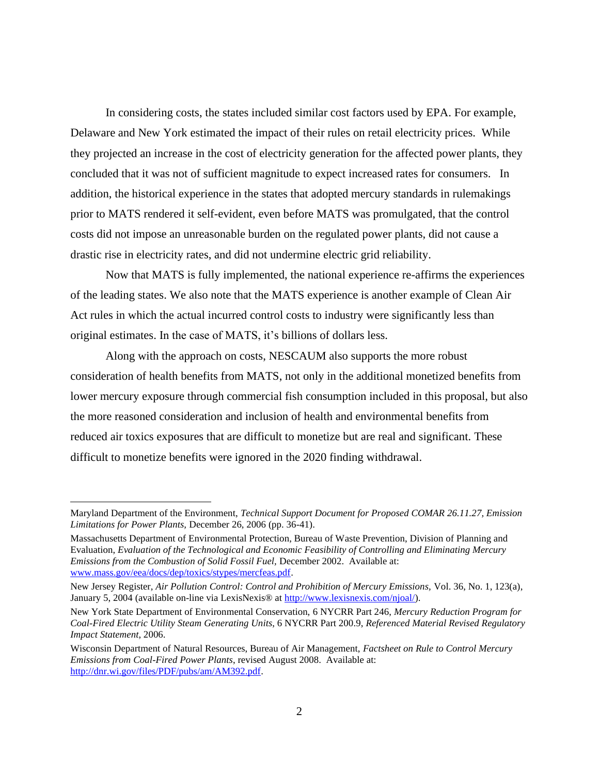In considering costs, the states included similar cost factors used by EPA. For example, Delaware and New York estimated the impact of their rules on retail electricity prices. While they projected an increase in the cost of electricity generation for the affected power plants, they concluded that it was not of sufficient magnitude to expect increased rates for consumers. In addition, the historical experience in the states that adopted mercury standards in rulemakings prior to MATS rendered it self-evident, even before MATS was promulgated, that the control costs did not impose an unreasonable burden on the regulated power plants, did not cause a drastic rise in electricity rates, and did not undermine electric grid reliability.

Now that MATS is fully implemented, the national experience re-affirms the experiences of the leading states. We also note that the MATS experience is another example of Clean Air Act rules in which the actual incurred control costs to industry were significantly less than original estimates. In the case of MATS, it's billions of dollars less.

Along with the approach on costs, NESCAUM also supports the more robust consideration of health benefits from MATS, not only in the additional monetized benefits from lower mercury exposure through commercial fish consumption included in this proposal, but also the more reasoned consideration and inclusion of health and environmental benefits from reduced air toxics exposures that are difficult to monetize but are real and significant. These difficult to monetize benefits were ignored in the 2020 finding withdrawal.

Maryland Department of the Environment, *Technical Support Document for Proposed COMAR 26.11.27, Emission Limitations for Power Plants,* December 26, 2006 (pp. 36-41).

Massachusetts Department of Environmental Protection, Bureau of Waste Prevention, Division of Planning and Evaluation, *Evaluation of the Technological and Economic Feasibility of Controlling and Eliminating Mercury Emissions from the Combustion of Solid Fossil Fuel,* December 2002. Available at: [www.mass.gov/eea/docs/dep/toxics/stypes/mercfeas.pdf.](http://www.mass.gov/eea/docs/dep/toxics/stypes/mercfeas.pdf)

New Jersey Register, *Air Pollution Control: Control and Prohibition of Mercury Emissions,* Vol. 36, No. 1, 123(a), January 5, 2004 (available on-line via LexisNexis® at [http://www.lexisnexis.com/njoal/\)](http://www.lexisnexis.com/njoal/).

New York State Department of Environmental Conservation, 6 NYCRR Part 246, *Mercury Reduction Program for Coal-Fired Electric Utility Steam Generating Units*, 6 NYCRR Part 200.9, *Referenced Material Revised Regulatory Impact Statement*, 2006.

Wisconsin Department of Natural Resources, Bureau of Air Management, *Factsheet on Rule to Control Mercury Emissions from Coal-Fired Power Plants*, revised August 2008. Available at: [http://dnr.wi.gov/files/PDF/pubs/am/AM392.pdf.](http://dnr.wi.gov/files/PDF/pubs/am/AM392.pdf)